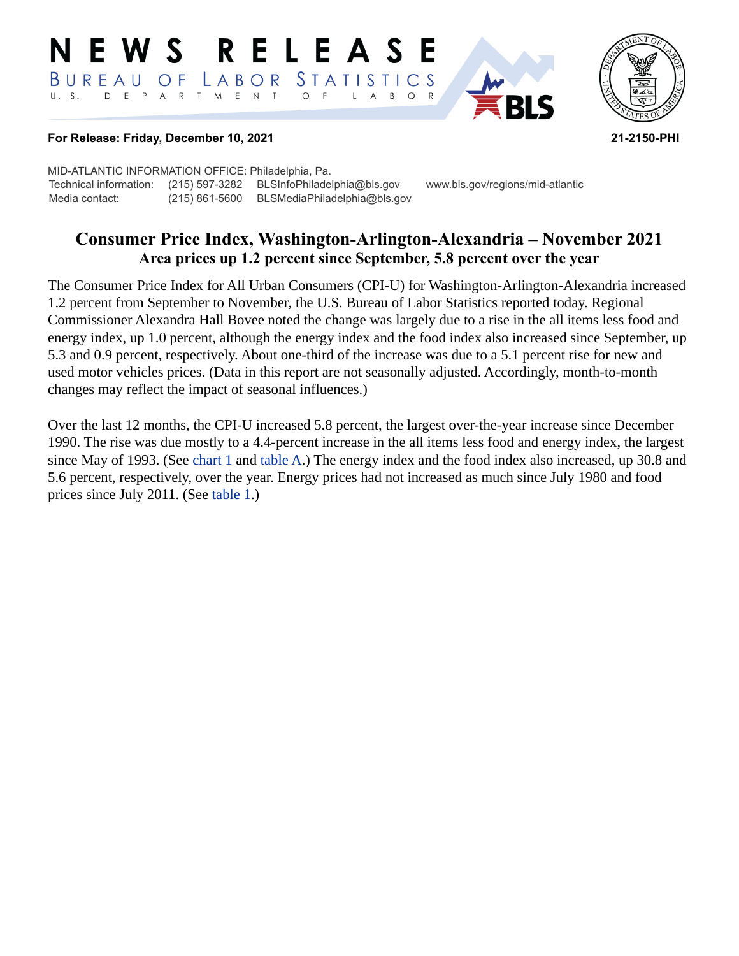#### **RELEASE** N E W S *STATISTICS* BUREAU O F LABOR D E P A R T M E N T  $\circ$  $\overline{F}$  $B$  $\circ$  $\mathsf{L}$  $\overline{A}$



#### **For Release: Friday, December 10, 2021 21-2150-PHI**

MID-ATLANTIC INFORMATION OFFICE: Philadelphia, Pa. Technical information: (215) 597-3282 BLSInfoPhiladelphia@bls.gov www.bls.gov/regions/mid-atlantic Media contact: (215) 861-5600 BLSMediaPhiladelphia@bls.gov

# **Consumer Price Index, Washington-Arlington-Alexandria – November 2021 Area prices up 1.2 percent since September, 5.8 percent over the year**

The Consumer Price Index for All Urban Consumers (CPI-U) for Washington-Arlington-Alexandria increased 1.2 percent from September to November, the U.S. Bureau of Labor Statistics reported today. Regional Commissioner Alexandra Hall Bovee noted the change was largely due to a rise in the all items less food and energy index, up 1.0 percent, although the energy index and the food index also increased since September, up 5.3 and 0.9 percent, respectively. About one-third of the increase was due to a 5.1 percent rise for new and used motor vehicles prices. (Data in this report are not seasonally adjusted. Accordingly, month-to-month changes may reflect the impact of seasonal influences.)

Over the last 12 months, the CPI-U increased 5.8 percent, the largest over-the-year increase since December 1990. The rise was due mostly to a 4.4-percent increase in the all items less food and energy index, the largest since May of 1993. (See [chart 1](#page-1-0) and [table A](#page-2-0).) The energy index and the food index also increased, up 30.8 and 5.6 percent, respectively, over the year. Energy prices had not increased as much since July 1980 and food prices since July 2011. (See [table 1](#page-4-0).)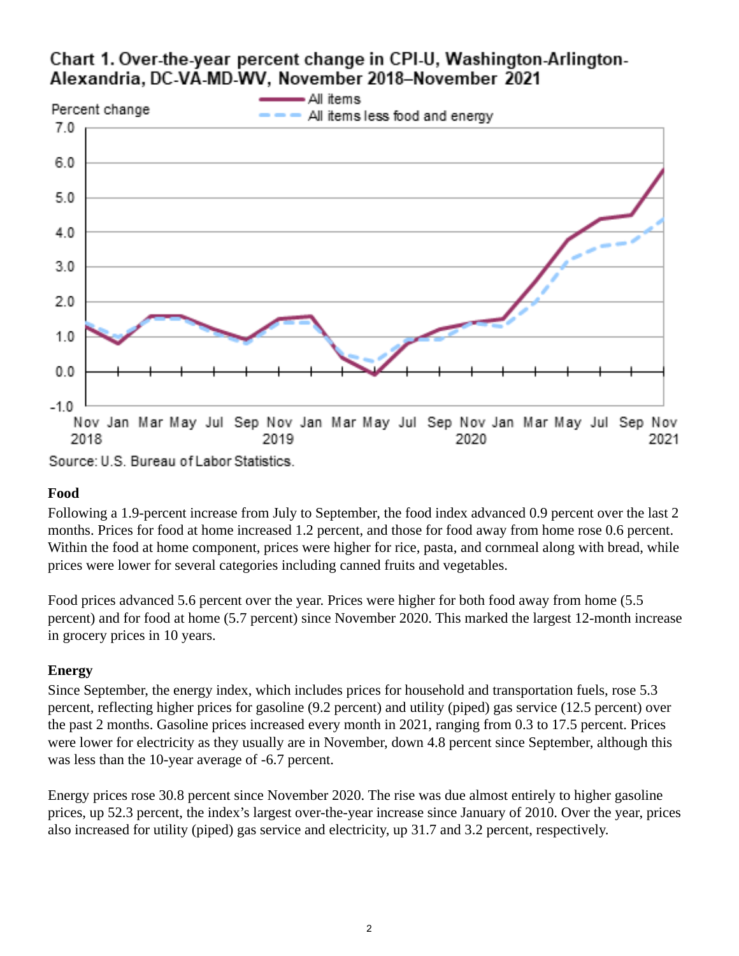# <span id="page-1-0"></span>Chart 1. Over-the-year percent change in CPI-U, Washington-Arlington-Alexandria, DC-VA-MD-WV, November 2018-November 2021



Source: U.S. Bureau of Labor Statistics.

## **Food**

Following a 1.9-percent increase from July to September, the food index advanced 0.9 percent over the last 2 months. Prices for food at home increased 1.2 percent, and those for food away from home rose 0.6 percent. Within the food at home component, prices were higher for rice, pasta, and cornmeal along with bread, while prices were lower for several categories including canned fruits and vegetables.

Food prices advanced 5.6 percent over the year. Prices were higher for both food away from home (5.5 percent) and for food at home (5.7 percent) since November 2020. This marked the largest 12-month increase in grocery prices in 10 years.

## **Energy**

Since September, the energy index, which includes prices for household and transportation fuels, rose 5.3 percent, reflecting higher prices for gasoline (9.2 percent) and utility (piped) gas service (12.5 percent) over the past 2 months. Gasoline prices increased every month in 2021, ranging from 0.3 to 17.5 percent. Prices were lower for electricity as they usually are in November, down 4.8 percent since September, although this was less than the 10-year average of -6.7 percent.

Energy prices rose 30.8 percent since November 2020. The rise was due almost entirely to higher gasoline prices, up 52.3 percent, the index's largest over-the-year increase since January of 2010. Over the year, prices also increased for utility (piped) gas service and electricity, up 31.7 and 3.2 percent, respectively.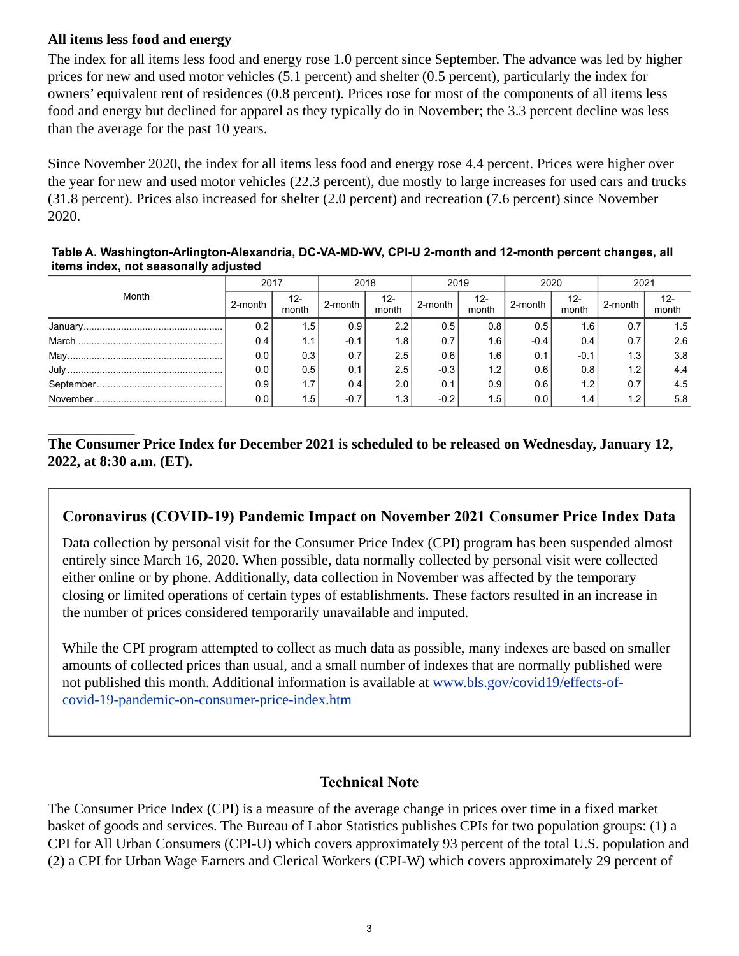## **All items less food and energy**

The index for all items less food and energy rose 1.0 percent since September. The advance was led by higher prices for new and used motor vehicles (5.1 percent) and shelter (0.5 percent), particularly the index for owners' equivalent rent of residences (0.8 percent). Prices rose for most of the components of all items less food and energy but declined for apparel as they typically do in November; the 3.3 percent decline was less than the average for the past 10 years.

Since November 2020, the index for all items less food and energy rose 4.4 percent. Prices were higher over the year for new and used motor vehicles (22.3 percent), due mostly to large increases for used cars and trucks (31.8 percent). Prices also increased for shelter (2.0 percent) and recreation (7.6 percent) since November 2020.

<span id="page-2-0"></span>**Table A. Washington-Arlington-Alexandria, DC-VA-MD-WV, CPI-U 2-month and 12-month percent changes, all items index, not seasonally adjusted** 

| Month | 2017    |                  | 2018    |              | 2019    |                  | 2020    |                  | 2021    |                 |
|-------|---------|------------------|---------|--------------|---------|------------------|---------|------------------|---------|-----------------|
|       | 2-month | 12-<br>month     | 2-month | 12-<br>month | 2-month | 12-<br>month     | 2-month | 12-<br>month     | 2-month | $12 -$<br>month |
|       | 0.2     | 1.5              | 0.9     | 2.2          | 0.5     | 0.8              | 0.5     | 1.6              | 0.7     | 1.5             |
|       | 0.4     | 1.1              | $-0.1$  | 1.8          | 0.7     | 1.6 <sub>1</sub> | $-0.4$  | 0.4              | 0.7     | 2.6             |
|       | 0.0     | 0.3              | 0.7     | 2.5          | 0.6     | 1.6              | 0.1     | $-0.1$           | 1.3     | 3.8             |
|       | 0.0     | 0.5              | 0.1     | 2.5          | $-0.3$  | 1.2              | 0.6     | 0.8              | 1.2     | 4.4             |
|       | 0.9     | 1.7 <sub>1</sub> | 0.4     | 2.0          | 0.1     | 0.9              | 0.6     | 1.2              | 0.7     | 4.5             |
|       | 0.0     | 1.5              | $-0.7$  | 1.3          | $-0.2$  | 1.5              | 0.0     | 1.4 <sub>1</sub> | 1.2     | 5.8             |

## **The Consumer Price Index for December 2021 is scheduled to be released on Wednesday, January 12, 2022, at 8:30 a.m. (ET).**

## **Coronavirus (COVID-19) Pandemic Impact on November 2021 Consumer Price Index Data**

Data collection by personal visit for the Consumer Price Index (CPI) program has been suspended almost entirely since March 16, 2020. When possible, data normally collected by personal visit were collected either online or by phone. Additionally, data collection in November was affected by the temporary closing or limited operations of certain types of establishments. These factors resulted in an increase in the number of prices considered temporarily unavailable and imputed.

While the CPI program attempted to collect as much data as possible, many indexes are based on smaller amounts of collected prices than usual, and a small number of indexes that are normally published were not published this month. Additional information is available at [www.bls.gov/covid19/effects-of](https://www.bls.gov/covid19/effects-of-covid-19-pandemic-on-consumer-price-index.htm)[covid-19-pandemic-on-consumer-price-index.htm](https://www.bls.gov/covid19/effects-of-covid-19-pandemic-on-consumer-price-index.htm)

## **Technical Note**

The Consumer Price Index (CPI) is a measure of the average change in prices over time in a fixed market basket of goods and services. The Bureau of Labor Statistics publishes CPIs for two population groups: (1) a CPI for All Urban Consumers (CPI-U) which covers approximately 93 percent of the total U.S. population and (2) a CPI for Urban Wage Earners and Clerical Workers (CPI-W) which covers approximately 29 percent of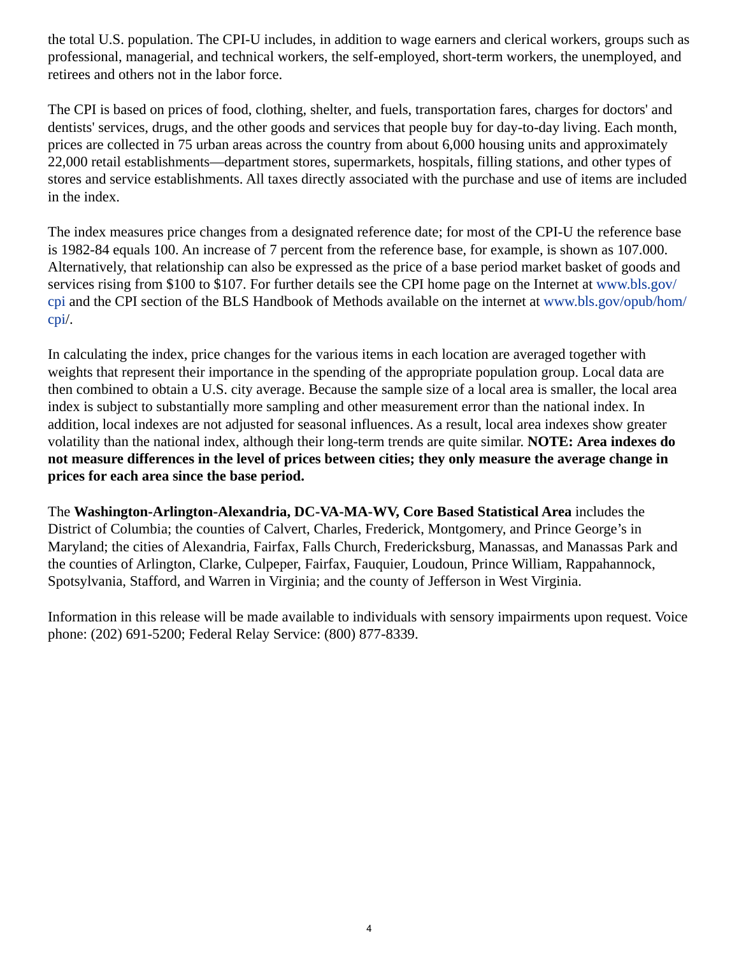the total U.S. population. The CPI-U includes, in addition to wage earners and clerical workers, groups such as professional, managerial, and technical workers, the self-employed, short-term workers, the unemployed, and retirees and others not in the labor force.

The CPI is based on prices of food, clothing, shelter, and fuels, transportation fares, charges for doctors' and dentists' services, drugs, and the other goods and services that people buy for day-to-day living. Each month, prices are collected in 75 urban areas across the country from about 6,000 housing units and approximately 22,000 retail establishments—department stores, supermarkets, hospitals, filling stations, and other types of stores and service establishments. All taxes directly associated with the purchase and use of items are included in the index.

The index measures price changes from a designated reference date; for most of the CPI-U the reference base is 1982-84 equals 100. An increase of 7 percent from the reference base, for example, is shown as 107.000. Alternatively, that relationship can also be expressed as the price of a base period market basket of goods and services rising from \$100 to \$107. For further details see the CPI home page on the Internet at [www.bls.gov/](https://www.bls.gov/cpi) [cpi](https://www.bls.gov/cpi) and the CPI section of the BLS Handbook of Methods available on the internet at [www.bls.gov/opub/hom/](https://www.bls.gov/opub/hom/cpi) [cpi](https://www.bls.gov/opub/hom/cpi)/.

In calculating the index, price changes for the various items in each location are averaged together with weights that represent their importance in the spending of the appropriate population group. Local data are then combined to obtain a U.S. city average. Because the sample size of a local area is smaller, the local area index is subject to substantially more sampling and other measurement error than the national index. In addition, local indexes are not adjusted for seasonal influences. As a result, local area indexes show greater volatility than the national index, although their long-term trends are quite similar. **NOTE: Area indexes do not measure differences in the level of prices between cities; they only measure the average change in prices for each area since the base period.**

The **Washington-Arlington-Alexandria, DC-VA-MA-WV, Core Based Statistical Area** includes the District of Columbia; the counties of Calvert, Charles, Frederick, Montgomery, and Prince George's in Maryland; the cities of Alexandria, Fairfax, Falls Church, Fredericksburg, Manassas, and Manassas Park and the counties of Arlington, Clarke, Culpeper, Fairfax, Fauquier, Loudoun, Prince William, Rappahannock, Spotsylvania, Stafford, and Warren in Virginia; and the county of Jefferson in West Virginia.

Information in this release will be made available to individuals with sensory impairments upon request. Voice phone: (202) 691-5200; Federal Relay Service: (800) 877-8339.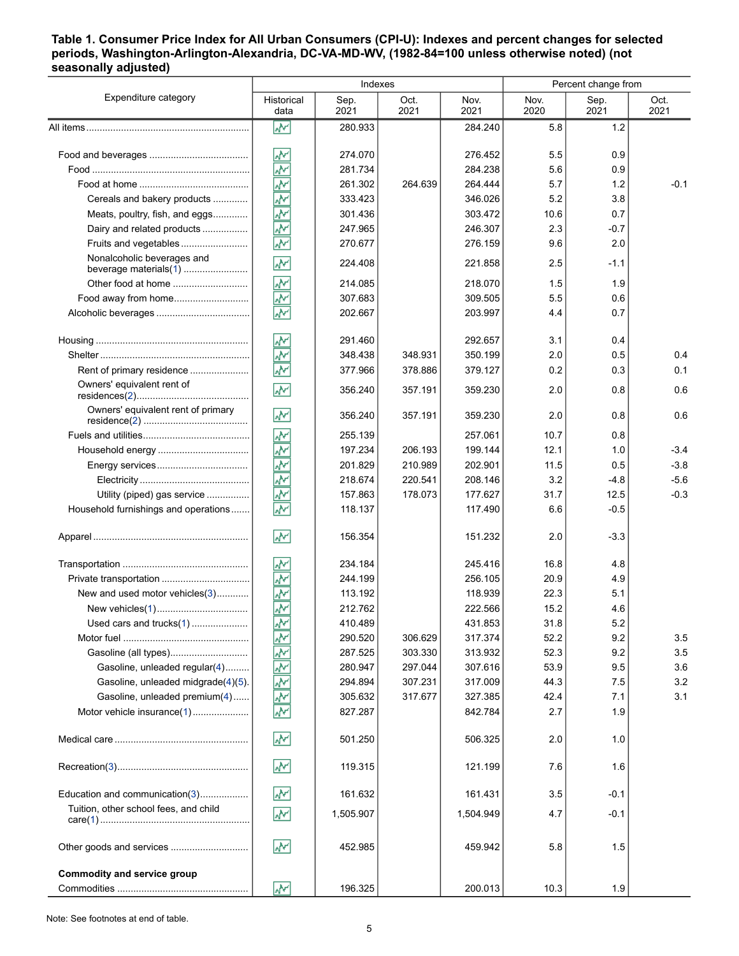#### <span id="page-4-0"></span>**Table 1. Consumer Price Index for All Urban Consumers (CPI-U): Indexes and percent changes for selected periods, Washington-Arlington-Alexandria, DC-VA-MD-WV, (1982-84=100 unless otherwise noted) (not seasonally adjusted)**

|                                       |                                                  | Indexes      |              | Percent change from |              |              |              |
|---------------------------------------|--------------------------------------------------|--------------|--------------|---------------------|--------------|--------------|--------------|
| Expenditure category                  | Historical<br>data                               | Sep.<br>2021 | Oct.<br>2021 | Nov.<br>2021        | Nov.<br>2020 | Sep.<br>2021 | Oct.<br>2021 |
|                                       | W                                                | 280.933      |              | 284.240             | 5.8          | 1.2          |              |
|                                       |                                                  |              |              |                     |              |              |              |
|                                       | ۸Μ                                               | 274.070      |              | 276.452             | 5.5          | 0.9          |              |
|                                       | ۸v                                               | 281.734      |              | 284.238             | 5.6          | 0.9          |              |
|                                       | ķ                                                | 261.302      | 264.639      | 264.444             | 5.7          | 1.2          | $-0.1$       |
| Cereals and bakery products           | $\overline{\mathbf{v}}$                          | 333.423      |              | 346.026             | 5.2          | 3.8          |              |
| Meats, poultry, fish, and eggs        | $\overline{\mathcal{N}}$                         | 301.436      |              | 303.472             | 10.6         | 0.7          |              |
| Dairy and related products            | ž                                                | 247.965      |              | 246.307             | 2.3          | $-0.7$       |              |
| Fruits and vegetables                 | ž                                                | 270.677      |              | 276.159             | 9.6          | 2.0          |              |
| Nonalcoholic beverages and            | ž                                                | 224.408      |              | 221.858             | 2.5          | $-1.1$       |              |
| Other food at home                    | W۲                                               | 214.085      |              | 218.070             | 1.5          | 1.9          |              |
| Food away from home                   | ۸Y                                               | 307.683      |              | 309.505             | 5.5          | 0.6          |              |
|                                       | $\overline{\mathcal{N}}$                         | 202.667      |              | 203.997             | 4.4          | 0.7          |              |
|                                       | ۸V                                               | 291.460      |              | 292.657             | 3.1          | 0.4          |              |
|                                       | ž                                                | 348.438      | 348.931      | 350.199             | 2.0          | 0.5          | 0.4          |
| Rent of primary residence             | $\overline{\mathbf{v}}$                          | 377.966      | 378.886      | 379.127             | 0.2          | 0.3          | 0.1          |
| Owners' equivalent rent of            | ۸V                                               | 356.240      | 357.191      | 359.230             | 2.0          | 0.8          | 0.6          |
| Owners' equivalent rent of primary    | W                                                | 356.240      | 357.191      | 359.230             | 2.0          | 0.8          | 0.6          |
|                                       | $\underline{\overline{\mathbf{A}}^{\mathbf{v}}}$ | 255.139      |              | 257.061             | 10.7         | 0.8          |              |
|                                       | ۸V                                               | 197.234      | 206.193      | 199.144             | 12.1         | 1.0          | $-3.4$       |
|                                       | ۸Y                                               | 201.829      | 210.989      | 202.901             | 11.5         | 0.5          | $-3.8$       |
|                                       | ķ                                                | 218.674      | 220.541      | 208.146             | 3.2          | $-4.8$       | $-5.6$       |
| Utility (piped) gas service           | ş                                                | 157.863      | 178.073      | 177.627             | 31.7         | 12.5         | $-0.3$       |
| Household furnishings and operations  | $\overline{\mathbf{v}}$                          | 118.137      |              | 117.490             | 6.6          | $-0.5$       |              |
|                                       | W۲                                               | 156.354      |              | 151.232             | 2.0          | $-3.3$       |              |
|                                       | ۸M                                               | 234.184      |              | 245.416             | 16.8         | 4.8          |              |
|                                       | ÷                                                | 244.199      |              | 256.105             | 20.9         | 4.9          |              |
| New and used motor vehicles(3)        | 办                                                | 113.192      |              | 118.939             | 22.3         | 5.1          |              |
|                                       | $\overline{\mathbf{r}}$                          | 212.762      |              | 222.566             | 15.2         | 4.6          |              |
| Used cars and trucks(1)               | W                                                | 410.489      |              | 431.853             | 31.8         | 5.2          |              |
|                                       | ۸Y                                               | 290.520      | 306.629      | 317.374             | 52.2         | 9.2          | 3.5          |
| Gasoline (all types)                  |                                                  | 287.525      | 303.330      | 313.932             | 52.3         | 9.2          | 3.5          |
| Gasoline, unleaded regular(4)         | 동종                                               | 280.947      | 297.044      | 307.616             | 53.9         | 9.5          | 3.6          |
| Gasoline, unleaded midgrade(4)(5).    |                                                  | 294.894      | 307.231      | 317.009             | 44.3         | 7.5          | 3.2          |
| Gasoline, unleaded premium(4)         | 冬                                                | 305.632      | 317.677      | 327.385             | 42.4         | 7.1          | 3.1          |
| Motor vehicle insurance(1)            |                                                  | 827.287      |              | 842.784             | 2.7          | 1.9          |              |
|                                       | $\mathbf{v}_k$                                   | 501.250      |              | 506.325             | 2.0          | 1.0          |              |
|                                       | <b>W</b>                                         | 119.315      |              | 121.199             | 7.6          | 1.6          |              |
| Education and communication(3)        | <b>W</b>                                         | 161.632      |              | 161.431             | 3.5          | $-0.1$       |              |
| Tuition, other school fees, and child | ž                                                | 1,505.907    |              | 1,504.949           | 4.7          | $-0.1$       |              |
| Other goods and services              | $\mathbf{v}_k$                                   | 452.985      |              | 459.942             | 5.8          | 1.5          |              |
| <b>Commodity and service group</b>    | W                                                | 196.325      |              | 200.013             | 10.3         | 1.9          |              |
|                                       |                                                  |              |              |                     |              |              |              |